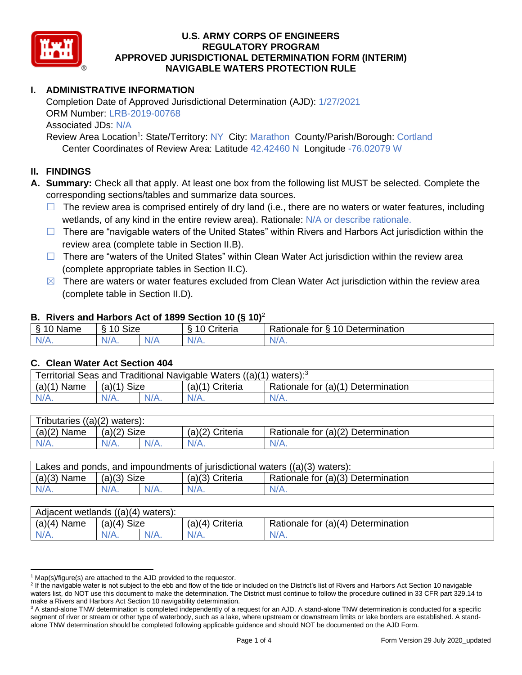

# **I. ADMINISTRATIVE INFORMATION**

Completion Date of Approved Jurisdictional Determination (AJD): 1/27/2021 ORM Number: LRB-2019-00768 Associated JDs: N/A Review Area Location<sup>1</sup>: State/Territory: NY City: Marathon County/Parish/Borough: Cortland

Center Coordinates of Review Area: Latitude 42.42460 N Longitude -76.02079 W

## **II. FINDINGS**

**A. Summary:** Check all that apply. At least one box from the following list MUST be selected. Complete the corresponding sections/tables and summarize data sources.

- $\Box$  The review area is comprised entirely of dry land (i.e., there are no waters or water features, including wetlands, of any kind in the entire review area). Rationale: N/A or describe rationale.
- $\Box$  There are "navigable waters of the United States" within Rivers and Harbors Act jurisdiction within the review area (complete table in Section II.B).
- $\Box$  There are "waters of the United States" within Clean Water Act jurisdiction within the review area (complete appropriate tables in Section II.C).
- $\boxtimes$  There are waters or water features excluded from Clean Water Act jurisdiction within the review area (complete table in Section II.D).

### **B. Rivers and Harbors Act of 1899 Section 10 (§ 10)**<sup>2</sup>

| $\cdot$                    |                      |   |                                |                                                      |  |  |  |  |
|----------------------------|----------------------|---|--------------------------------|------------------------------------------------------|--|--|--|--|
| $\sim$<br>100<br>Name<br>s | $\sim$<br>10<br>SIZE |   | $\cdots$<br>10<br>-<br>;nteria | Determination<br>$\sqrt{ }$<br>-<br>tor<br>Rationale |  |  |  |  |
| $N/A$ .                    | NI/<br>97 / TV +     | . | $N/A$ .                        | N/A.                                                 |  |  |  |  |

### **C. Clean Water Act Section 404**

| Territorial Seas and Traditional Navigable Waters ((a)(1) waters): $3$ |               |  |                   |                                    |  |  |
|------------------------------------------------------------------------|---------------|--|-------------------|------------------------------------|--|--|
| (a)(1)<br>Name                                                         | $(a)(1)$ Size |  | $(a)(1)$ Criteria | Rationale for (a)(1) Determination |  |  |
|                                                                        | $N/A$ .       |  | $N/A$ .           | $N/A$ .                            |  |  |

| Tributaries,<br>$((a)(2)$ waters): |                       |  |                    |                                    |  |  |  |
|------------------------------------|-----------------------|--|--------------------|------------------------------------|--|--|--|
| (a)(2)<br>Name                     | <b>Size</b><br>(a)(2) |  | (a)(2)<br>Criteria | Rationale for (a)(2) Determination |  |  |  |
| $N/A$ .                            | $N/A$ .               |  | $N/A$ .            | N/A.                               |  |  |  |

| Lakes and ponds, and impoundments of jurisdictional waters $((a)(3)$ waters): |               |         |                   |                                    |  |  |  |
|-------------------------------------------------------------------------------|---------------|---------|-------------------|------------------------------------|--|--|--|
| $(a)(3)$ Name                                                                 | $(a)(3)$ Size |         | $(a)(3)$ Criteria | Rationale for (a)(3) Determination |  |  |  |
| $N/A$ .                                                                       | $N/A$ .       | $N/A$ . | $N/A$ .           | $N/A$ .                            |  |  |  |

| Adjacent wetlands $((a)(4)$ waters): |                       |         |                 |                                    |  |  |
|--------------------------------------|-----------------------|---------|-----------------|------------------------------------|--|--|
| $(a)(4)$ Name                        | <b>Size</b><br>(a)(4) |         | (a)(4) Criteria | Rationale for (a)(4) Determination |  |  |
| $N/A$ .                              | $V\cap$               | $N/A$ . | $N/A$ .         | 'V/A.                              |  |  |

 $1$  Map(s)/figure(s) are attached to the AJD provided to the requestor.

<sup>&</sup>lt;sup>2</sup> If the navigable water is not subject to the ebb and flow of the tide or included on the District's list of Rivers and Harbors Act Section 10 navigable waters list, do NOT use this document to make the determination. The District must continue to follow the procedure outlined in 33 CFR part 329.14 to make a Rivers and Harbors Act Section 10 navigability determination.

<sup>&</sup>lt;sup>3</sup> A stand-alone TNW determination is completed independently of a request for an AJD. A stand-alone TNW determination is conducted for a specific segment of river or stream or other type of waterbody, such as a lake, where upstream or downstream limits or lake borders are established. A standalone TNW determination should be completed following applicable guidance and should NOT be documented on the AJD Form.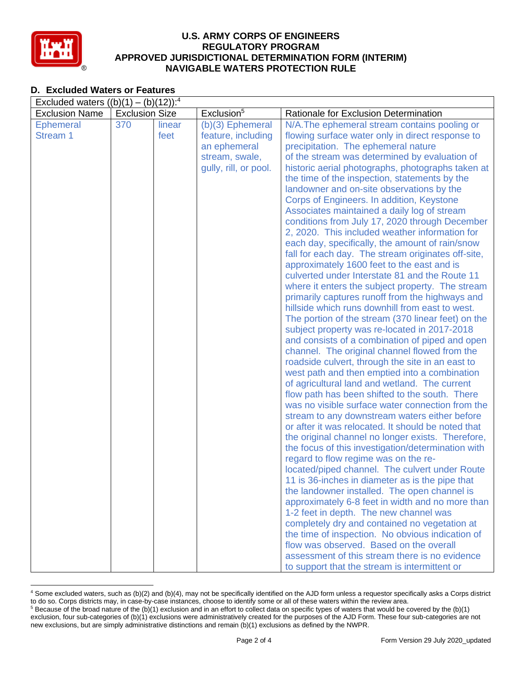

## **D. Excluded Waters or Features**

| Excluded waters $((b)(1) - (b)(12))$ : <sup>4</sup> |                       |        |                        |                                                                                                     |  |  |
|-----------------------------------------------------|-----------------------|--------|------------------------|-----------------------------------------------------------------------------------------------------|--|--|
| <b>Exclusion Name</b>                               | <b>Exclusion Size</b> |        | Exclusion <sup>5</sup> | Rationale for Exclusion Determination                                                               |  |  |
| <b>Ephemeral</b>                                    | 370                   | linear | (b)(3) Ephemeral       | N/A. The ephemeral stream contains pooling or                                                       |  |  |
| Stream 1                                            |                       | feet   | feature, including     | flowing surface water only in direct response to                                                    |  |  |
|                                                     |                       |        | an ephemeral           | precipitation. The ephemeral nature                                                                 |  |  |
|                                                     |                       |        | stream, swale,         | of the stream was determined by evaluation of                                                       |  |  |
|                                                     |                       |        | gully, rill, or pool.  | historic aerial photographs, photographs taken at                                                   |  |  |
|                                                     |                       |        |                        | the time of the inspection, statements by the                                                       |  |  |
|                                                     |                       |        |                        | landowner and on-site observations by the                                                           |  |  |
|                                                     |                       |        |                        | Corps of Engineers. In addition, Keystone                                                           |  |  |
|                                                     |                       |        |                        | Associates maintained a daily log of stream                                                         |  |  |
|                                                     |                       |        |                        | conditions from July 17, 2020 through December                                                      |  |  |
|                                                     |                       |        |                        | 2, 2020. This included weather information for                                                      |  |  |
|                                                     |                       |        |                        | each day, specifically, the amount of rain/snow                                                     |  |  |
|                                                     |                       |        |                        | fall for each day. The stream originates off-site,                                                  |  |  |
|                                                     |                       |        |                        | approximately 1600 feet to the east and is<br>culverted under Interstate 81 and the Route 11        |  |  |
|                                                     |                       |        |                        |                                                                                                     |  |  |
|                                                     |                       |        |                        | where it enters the subject property. The stream<br>primarily captures runoff from the highways and |  |  |
|                                                     |                       |        |                        | hillside which runs downhill from east to west.                                                     |  |  |
|                                                     |                       |        |                        | The portion of the stream (370 linear feet) on the                                                  |  |  |
|                                                     |                       |        |                        | subject property was re-located in 2017-2018                                                        |  |  |
|                                                     |                       |        |                        | and consists of a combination of piped and open                                                     |  |  |
|                                                     |                       |        |                        | channel. The original channel flowed from the                                                       |  |  |
|                                                     |                       |        |                        | roadside culvert, through the site in an east to                                                    |  |  |
|                                                     |                       |        |                        | west path and then emptied into a combination                                                       |  |  |
|                                                     |                       |        |                        | of agricultural land and wetland. The current                                                       |  |  |
|                                                     |                       |        |                        | flow path has been shifted to the south. There                                                      |  |  |
|                                                     |                       |        |                        | was no visible surface water connection from the                                                    |  |  |
|                                                     |                       |        |                        | stream to any downstream waters either before                                                       |  |  |
|                                                     |                       |        |                        | or after it was relocated. It should be noted that                                                  |  |  |
|                                                     |                       |        |                        | the original channel no longer exists. Therefore,                                                   |  |  |
|                                                     |                       |        |                        | the focus of this investigation/determination with                                                  |  |  |
|                                                     |                       |        |                        | regard to flow regime was on the re-                                                                |  |  |
|                                                     |                       |        |                        | located/piped channel. The culvert under Route                                                      |  |  |
|                                                     |                       |        |                        | 11 is 36-inches in diameter as is the pipe that                                                     |  |  |
|                                                     |                       |        |                        | the landowner installed. The open channel is                                                        |  |  |
|                                                     |                       |        |                        | approximately 6-8 feet in width and no more than                                                    |  |  |
|                                                     |                       |        |                        | 1-2 feet in depth. The new channel was                                                              |  |  |
|                                                     |                       |        |                        | completely dry and contained no vegetation at                                                       |  |  |
|                                                     |                       |        |                        | the time of inspection. No obvious indication of                                                    |  |  |
|                                                     |                       |        |                        | flow was observed. Based on the overall                                                             |  |  |
|                                                     |                       |        |                        | assessment of this stream there is no evidence                                                      |  |  |
|                                                     |                       |        |                        | to support that the stream is intermittent or                                                       |  |  |

<sup>4</sup> Some excluded waters, such as (b)(2) and (b)(4), may not be specifically identified on the AJD form unless a requestor specifically asks a Corps district to do so. Corps districts may, in case-by-case instances, choose to identify some or all of these waters within the review area.  $5$  Because of the broad nature of the (b)(1) exclusion and in an effort to collect data on specific types of waters that would be covered by the (b)(1)

exclusion, four sub-categories of (b)(1) exclusions were administratively created for the purposes of the AJD Form. These four sub-categories are not new exclusions, but are simply administrative distinctions and remain (b)(1) exclusions as defined by the NWPR.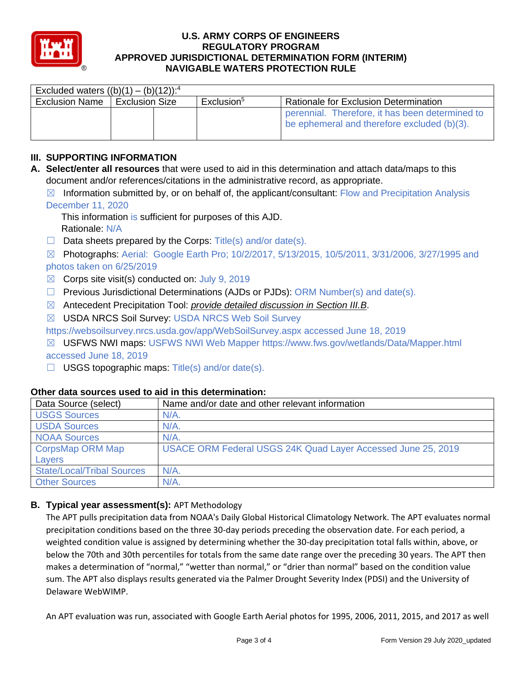

| Excluded waters $((b)(1) - (b)(12))$ : <sup>4</sup> |                  |  |                        |                                                                                                |  |  |
|-----------------------------------------------------|------------------|--|------------------------|------------------------------------------------------------------------------------------------|--|--|
| <b>Exclusion Name</b>                               | l Exclusion Size |  | Exclusion <sup>5</sup> | Rationale for Exclusion Determination                                                          |  |  |
|                                                     |                  |  |                        | perennial. Therefore, it has been determined to<br>be ephemeral and therefore excluded (b)(3). |  |  |

## **III. SUPPORTING INFORMATION**

- **A. Select/enter all resources** that were used to aid in this determination and attach data/maps to this document and/or references/citations in the administrative record, as appropriate.
	- $\boxtimes$  Information submitted by, or on behalf of, the applicant/consultant: Flow and Precipitation Analysis December 11, 2020

This information is sufficient for purposes of this AJD. Rationale: N/A

 $\Box$  Data sheets prepared by the Corps: Title(s) and/or date(s).

☒ Photographs: Aerial: Google Earth Pro; 10/2/2017, 5/13/2015, 10/5/2011, 3/31/2006, 3/27/1995 and photos taken on 6/25/2019

- $\boxtimes$  Corps site visit(s) conducted on: July 9, 2019
- $\Box$  Previous Jurisdictional Determinations (AJDs or PJDs): ORM Number(s) and date(s).
- ☒ Antecedent Precipitation Tool: *provide detailed discussion in Section III.B*.
- ☒ USDA NRCS Soil Survey: USDA NRCS Web Soil Survey

https://websoilsurvey.nrcs.usda.gov/app/WebSoilSurvey.aspx accessed June 18, 2019

- ☒ USFWS NWI maps: USFWS NWI Web Mapper https://www.fws.gov/wetlands/Data/Mapper.html accessed June 18, 2019
- $\Box$  USGS topographic maps: Title(s) and/or date(s).

| Data Source (select)              | Name and/or date and other relevant information              |
|-----------------------------------|--------------------------------------------------------------|
| <b>USGS Sources</b>               | $N/A$ .                                                      |
| <b>USDA Sources</b>               | $N/A$ .                                                      |
| <b>NOAA Sources</b>               | $N/A$ .                                                      |
| CorpsMap ORM Map                  | USACE ORM Federal USGS 24K Quad Layer Accessed June 25, 2019 |
| Layers                            |                                                              |
| <b>State/Local/Tribal Sources</b> | $N/A$ .                                                      |
| <b>Other Sources</b>              | $N/A$ .                                                      |

## **Other data sources used to aid in this determination:**

### **B. Typical year assessment(s):** APT Methodology

The APT pulls precipitation data from NOAA's Daily Global Historical Climatology Network. The APT evaluates normal precipitation conditions based on the three 30-day periods preceding the observation date. For each period, a weighted condition value is assigned by determining whether the 30-day precipitation total falls within, above, or below the 70th and 30th percentiles for totals from the same date range over the preceding 30 years. The APT then makes a determination of "normal," "wetter than normal," or "drier than normal" based on the condition value sum. The APT also displays results generated via the Palmer Drought Severity Index (PDSI) and the University of Delaware WebWIMP.

An APT evaluation was run, associated with Google Earth Aerial photos for 1995, 2006, 2011, 2015, and 2017 as well